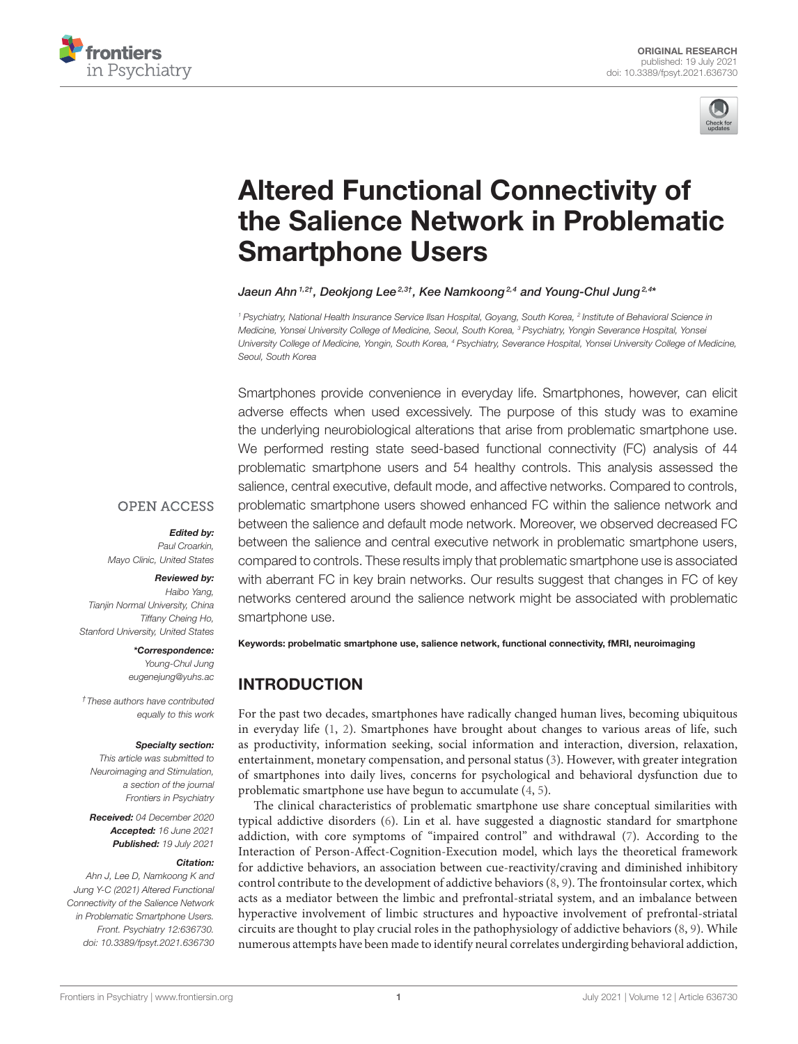



# Altered Functional Connectivity of [the Salience Network in Problematic](https://www.frontiersin.org/articles/10.3389/fpsyt.2021.636730/full) Smartphone Users

Jaeun Ahn $^{1,2\dagger}$ , Deokjong Lee $^{2,3\dagger}$ , Kee Namkoong $^{2,4}$  and Young-Chul Jung $^{2,4*}$ 

*<sup>1</sup> Psychiatry, National Health Insurance Service Ilsan Hospital, Goyang, South Korea, <sup>2</sup> Institute of Behavioral Science in Medicine, Yonsei University College of Medicine, Seoul, South Korea, <sup>3</sup> Psychiatry, Yongin Severance Hospital, Yonsei University College of Medicine, Yongin, South Korea, <sup>4</sup> Psychiatry, Severance Hospital, Yonsei University College of Medicine, Seoul, South Korea*

Smartphones provide convenience in everyday life. Smartphones, however, can elicit adverse effects when used excessively. The purpose of this study was to examine the underlying neurobiological alterations that arise from problematic smartphone use. We performed resting state seed-based functional connectivity (FC) analysis of 44 problematic smartphone users and 54 healthy controls. This analysis assessed the salience, central executive, default mode, and affective networks. Compared to controls, problematic smartphone users showed enhanced FC within the salience network and between the salience and default mode network. Moreover, we observed decreased FC between the salience and central executive network in problematic smartphone users, compared to controls. These results imply that problematic smartphone use is associated with aberrant FC in key brain networks. Our results suggest that changes in FC of key networks centered around the salience network might be associated with problematic smartphone use.

# **OPEN ACCESS**

Edited by:

*Paul Croarkin, Mayo Clinic, United States*

#### Reviewed by:

*Haibo Yang, Tianjin Normal University, China Tiffany Cheing Ho, Stanford University, United States*

#### \*Correspondence:

*Young-Chul Jung [eugenejung@yuhs.ac](mailto:eugenejung@yuhs.ac)*

*†These authors have contributed equally to this work*

#### Specialty section:

*This article was submitted to Neuroimaging and Stimulation, a section of the journal Frontiers in Psychiatry*

Received: *04 December 2020* Accepted: *16 June 2021* Published: *19 July 2021*

#### Citation:

*Ahn J, Lee D, Namkoong K and Jung Y-C (2021) Altered Functional Connectivity of the Salience Network in Problematic Smartphone Users. Front. Psychiatry 12:636730. doi: [10.3389/fpsyt.2021.636730](https://doi.org/10.3389/fpsyt.2021.636730)* Keywords: probelmatic smartphone use, salience network, functional connectivity, fMRI, neuroimaging

# INTRODUCTION

For the past two decades, smartphones have radically changed human lives, becoming ubiquitous in everyday life [\(1,](#page-7-0) [2\)](#page-7-1). Smartphones have brought about changes to various areas of life, such as productivity, information seeking, social information and interaction, diversion, relaxation, entertainment, monetary compensation, and personal status [\(3\)](#page-7-2). However, with greater integration of smartphones into daily lives, concerns for psychological and behavioral dysfunction due to problematic smartphone use have begun to accumulate [\(4,](#page-7-3) [5\)](#page-7-4).

The clinical characteristics of problematic smartphone use share conceptual similarities with typical addictive disorders [\(6\)](#page-7-5). Lin et al. have suggested a diagnostic standard for smartphone addiction, with core symptoms of "impaired control" and withdrawal [\(7\)](#page-7-6). According to the Interaction of Person-Affect-Cognition-Execution model, which lays the theoretical framework for addictive behaviors, an association between cue-reactivity/craving and diminished inhibitory control contribute to the development of addictive behaviors [\(8,](#page-7-7) [9\)](#page-7-8). The frontoinsular cortex, which acts as a mediator between the limbic and prefrontal-striatal system, and an imbalance between hyperactive involvement of limbic structures and hypoactive involvement of prefrontal-striatal circuits are thought to play crucial roles in the pathophysiology of addictive behaviors [\(8,](#page-7-7) [9\)](#page-7-8). While numerous attempts have been made to identify neural correlates undergirding behavioral addiction,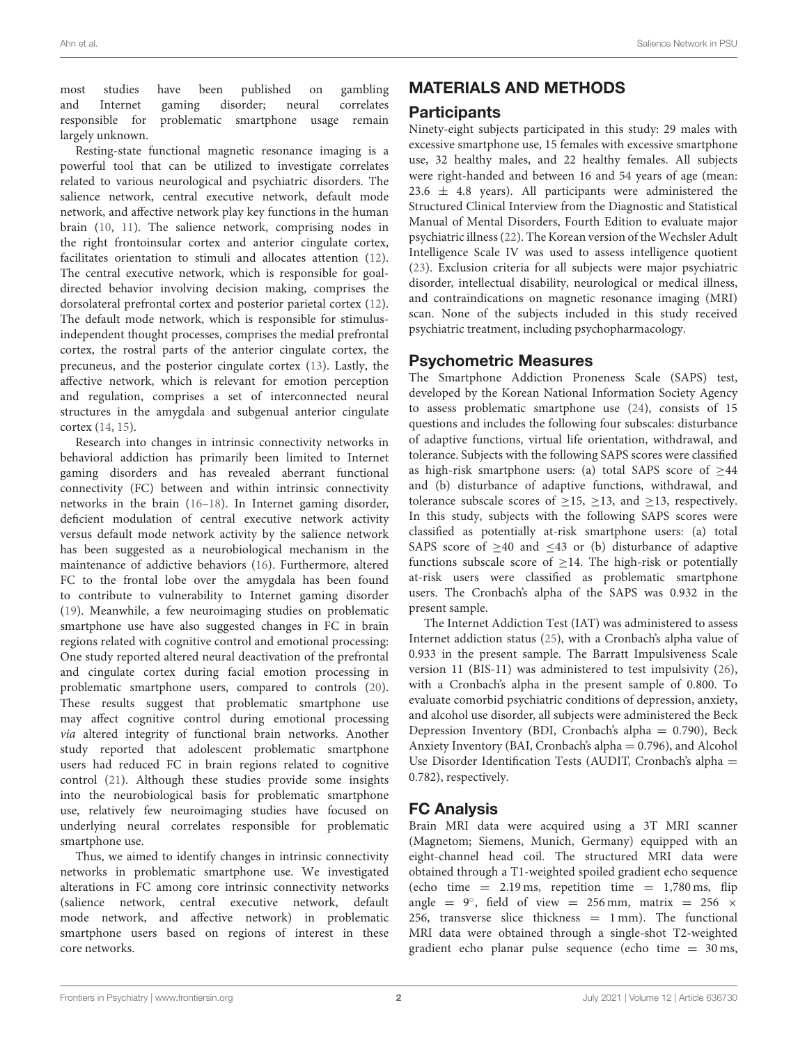most studies have been published on gambling and Internet gaming disorder; neural correlates problematic smartphone usage remain largely unknown.

Resting-state functional magnetic resonance imaging is a powerful tool that can be utilized to investigate correlates related to various neurological and psychiatric disorders. The salience network, central executive network, default mode network, and affective network play key functions in the human brain [\(10,](#page-7-9) [11\)](#page-7-10). The salience network, comprising nodes in the right frontoinsular cortex and anterior cingulate cortex, facilitates orientation to stimuli and allocates attention [\(12\)](#page-7-11). The central executive network, which is responsible for goaldirected behavior involving decision making, comprises the dorsolateral prefrontal cortex and posterior parietal cortex [\(12\)](#page-7-11). The default mode network, which is responsible for stimulusindependent thought processes, comprises the medial prefrontal cortex, the rostral parts of the anterior cingulate cortex, the precuneus, and the posterior cingulate cortex [\(13\)](#page-7-12). Lastly, the affective network, which is relevant for emotion perception and regulation, comprises a set of interconnected neural structures in the amygdala and subgenual anterior cingulate cortex [\(14,](#page-7-13) [15\)](#page-7-14).

Research into changes in intrinsic connectivity networks in behavioral addiction has primarily been limited to Internet gaming disorders and has revealed aberrant functional connectivity (FC) between and within intrinsic connectivity networks in the brain [\(16–](#page-7-15)[18\)](#page-7-16). In Internet gaming disorder, deficient modulation of central executive network activity versus default mode network activity by the salience network has been suggested as a neurobiological mechanism in the maintenance of addictive behaviors [\(16\)](#page-7-15). Furthermore, altered FC to the frontal lobe over the amygdala has been found to contribute to vulnerability to Internet gaming disorder [\(19\)](#page-7-17). Meanwhile, a few neuroimaging studies on problematic smartphone use have also suggested changes in FC in brain regions related with cognitive control and emotional processing: One study reported altered neural deactivation of the prefrontal and cingulate cortex during facial emotion processing in problematic smartphone users, compared to controls [\(20\)](#page-7-18). These results suggest that problematic smartphone use may affect cognitive control during emotional processing via altered integrity of functional brain networks. Another study reported that adolescent problematic smartphone users had reduced FC in brain regions related to cognitive control [\(21\)](#page-7-19). Although these studies provide some insights into the neurobiological basis for problematic smartphone use, relatively few neuroimaging studies have focused on underlying neural correlates responsible for problematic smartphone use.

Thus, we aimed to identify changes in intrinsic connectivity networks in problematic smartphone use. We investigated alterations in FC among core intrinsic connectivity networks (salience network, central executive network, default mode network, and affective network) in problematic smartphone users based on regions of interest in these core networks.

# MATERIALS AND METHODS

## **Participants**

Ninety-eight subjects participated in this study: 29 males with excessive smartphone use, 15 females with excessive smartphone use, 32 healthy males, and 22 healthy females. All subjects were right-handed and between 16 and 54 years of age (mean:  $23.6 \pm 4.8$  years). All participants were administered the Structured Clinical Interview from the Diagnostic and Statistical Manual of Mental Disorders, Fourth Edition to evaluate major psychiatric illness [\(22\)](#page-7-20). The Korean version of the Wechsler Adult Intelligence Scale IV was used to assess intelligence quotient [\(23\)](#page-7-21). Exclusion criteria for all subjects were major psychiatric disorder, intellectual disability, neurological or medical illness, and contraindications on magnetic resonance imaging (MRI) scan. None of the subjects included in this study received psychiatric treatment, including psychopharmacology.

## Psychometric Measures

The Smartphone Addiction Proneness Scale (SAPS) test, developed by the Korean National Information Society Agency to assess problematic smartphone use [\(24\)](#page-7-22), consists of 15 questions and includes the following four subscales: disturbance of adaptive functions, virtual life orientation, withdrawal, and tolerance. Subjects with the following SAPS scores were classified as high-risk smartphone users: (a) total SAPS score of  $\geq 44$ and (b) disturbance of adaptive functions, withdrawal, and tolerance subscale scores of  $\geq$ 15,  $\geq$ 13, and  $\geq$ 13, respectively. In this study, subjects with the following SAPS scores were classified as potentially at-risk smartphone users: (a) total SAPS score of  $\geq$ 40 and  $\leq$ 43 or (b) disturbance of adaptive functions subscale score of  $>14$ . The high-risk or potentially at-risk users were classified as problematic smartphone users. The Cronbach's alpha of the SAPS was 0.932 in the present sample.

The Internet Addiction Test (IAT) was administered to assess Internet addiction status [\(25\)](#page-7-23), with a Cronbach's alpha value of 0.933 in the present sample. The Barratt Impulsiveness Scale version 11 (BIS-11) was administered to test impulsivity [\(26\)](#page-7-24), with a Cronbach's alpha in the present sample of 0.800. To evaluate comorbid psychiatric conditions of depression, anxiety, and alcohol use disorder, all subjects were administered the Beck Depression Inventory (BDI, Cronbach's alpha = 0.790), Beck Anxiety Inventory (BAI, Cronbach's alpha = 0.796), and Alcohol Use Disorder Identification Tests (AUDIT, Cronbach's alpha = 0.782), respectively.

# FC Analysis

Brain MRI data were acquired using a 3T MRI scanner (Magnetom; Siemens, Munich, Germany) equipped with an eight-channel head coil. The structured MRI data were obtained through a T1-weighted spoiled gradient echo sequence (echo time  $= 2.19$  ms, repetition time  $= 1,780$  ms, flip angle =  $9^\circ$ , field of view = 256 mm, matrix = 256  $\times$ 256, transverse slice thickness  $= 1$  mm). The functional MRI data were obtained through a single-shot T2-weighted gradient echo planar pulse sequence (echo time  $= 30$  ms,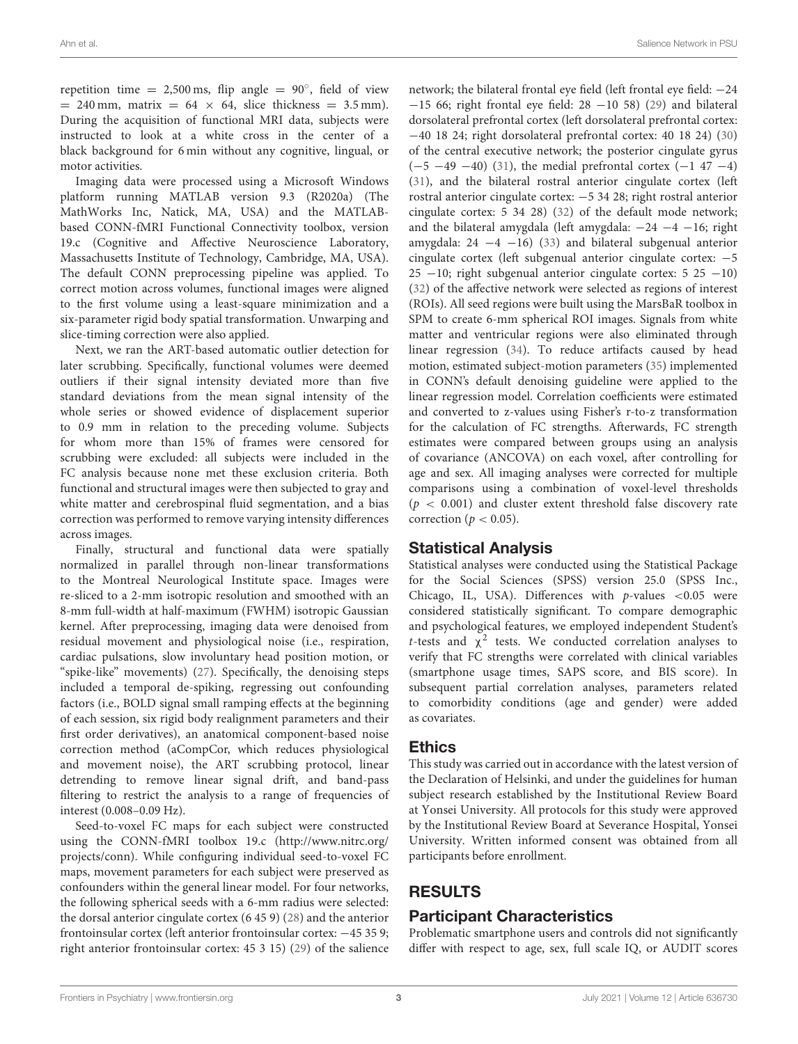repetition time =  $2,500 \text{ ms}$ , flip angle =  $90^\circ$ , field of view  $= 240$  mm, matrix  $= 64 \times 64$ , slice thickness  $= 3.5$  mm). During the acquisition of functional MRI data, subjects were instructed to look at a white cross in the center of a black background for 6 min without any cognitive, lingual, or motor activities.

Imaging data were processed using a Microsoft Windows platform running MATLAB version 9.3 (R2020a) (The MathWorks Inc, Natick, MA, USA) and the MATLABbased CONN-fMRI Functional Connectivity toolbox, version 19.c (Cognitive and Affective Neuroscience Laboratory, Massachusetts Institute of Technology, Cambridge, MA, USA). The default CONN preprocessing pipeline was applied. To correct motion across volumes, functional images were aligned to the first volume using a least-square minimization and a six-parameter rigid body spatial transformation. Unwarping and slice-timing correction were also applied.

Next, we ran the ART-based automatic outlier detection for later scrubbing. Specifically, functional volumes were deemed outliers if their signal intensity deviated more than five standard deviations from the mean signal intensity of the whole series or showed evidence of displacement superior to 0.9 mm in relation to the preceding volume. Subjects for whom more than 15% of frames were censored for scrubbing were excluded: all subjects were included in the FC analysis because none met these exclusion criteria. Both functional and structural images were then subjected to gray and white matter and cerebrospinal fluid segmentation, and a bias correction was performed to remove varying intensity differences across images.

Finally, structural and functional data were spatially normalized in parallel through non-linear transformations to the Montreal Neurological Institute space. Images were re-sliced to a 2-mm isotropic resolution and smoothed with an 8-mm full-width at half-maximum (FWHM) isotropic Gaussian kernel. After preprocessing, imaging data were denoised from residual movement and physiological noise (i.e., respiration, cardiac pulsations, slow involuntary head position motion, or "spike-like" movements) [\(27\)](#page-7-25). Specifically, the denoising steps included a temporal de-spiking, regressing out confounding factors (i.e., BOLD signal small ramping effects at the beginning of each session, six rigid body realignment parameters and their first order derivatives), an anatomical component-based noise correction method (aCompCor, which reduces physiological and movement noise), the ART scrubbing protocol, linear detrending to remove linear signal drift, and band-pass filtering to restrict the analysis to a range of frequencies of interest (0.008–0.09 Hz).

Seed-to-voxel FC maps for each subject were constructed using the CONN-fMRI toolbox 19.c [\(http://www.nitrc.org/](http://www.nitrc.org/projects/conn) [projects/conn\)](http://www.nitrc.org/projects/conn). While configuring individual seed-to-voxel FC maps, movement parameters for each subject were preserved as confounders within the general linear model. For four networks, the following spherical seeds with a 6-mm radius were selected: the dorsal anterior cingulate cortex (6 45 9) [\(28\)](#page-7-26) and the anterior frontoinsular cortex (left anterior frontoinsular cortex: −45 35 9; right anterior frontoinsular cortex: 45 3 15) [\(29\)](#page-7-27) of the salience network; the bilateral frontal eye field (left frontal eye field: −24 −15 66; right frontal eye field: 28 −10 58) [\(29\)](#page-7-27) and bilateral dorsolateral prefrontal cortex (left dorsolateral prefrontal cortex: −40 18 24; right dorsolateral prefrontal cortex: 40 18 24) [\(30\)](#page-7-28) of the central executive network; the posterior cingulate gyrus  $(-5 -49 -40)$  [\(31\)](#page-8-0), the medial prefrontal cortex  $(-1 47 -4)$ [\(31\)](#page-8-0), and the bilateral rostral anterior cingulate cortex (left rostral anterior cingulate cortex: −5 34 28; right rostral anterior cingulate cortex: 5 34 28) [\(32\)](#page-8-1) of the default mode network; and the bilateral amygdala (left amygdala: −24 −4 −16; right amygdala:  $24 -4 -16$  [\(33\)](#page-8-2) and bilateral subgenual anterior cingulate cortex (left subgenual anterior cingulate cortex: −5  $25 -10$ ; right subgenual anterior cingulate cortex:  $5\ 25\ -10$ ) [\(32\)](#page-8-1) of the affective network were selected as regions of interest (ROIs). All seed regions were built using the MarsBaR toolbox in SPM to create 6-mm spherical ROI images. Signals from white matter and ventricular regions were also eliminated through linear regression [\(34\)](#page-8-3). To reduce artifacts caused by head motion, estimated subject-motion parameters [\(35\)](#page-8-4) implemented in CONN's default denoising guideline were applied to the linear regression model. Correlation coefficients were estimated and converted to z-values using Fisher's r-to-z transformation for the calculation of FC strengths. Afterwards, FC strength estimates were compared between groups using an analysis of covariance (ANCOVA) on each voxel, after controlling for age and sex. All imaging analyses were corrected for multiple comparisons using a combination of voxel-level thresholds  $(p < 0.001)$  and cluster extent threshold false discovery rate correction ( $p < 0.05$ ).

### Statistical Analysis

Statistical analyses were conducted using the Statistical Package for the Social Sciences (SPSS) version 25.0 (SPSS Inc., Chicago, IL, USA). Differences with  $p$ -values <0.05 were considered statistically significant. To compare demographic and psychological features, we employed independent Student's t-tests and  $\chi^2$  tests. We conducted correlation analyses to verify that FC strengths were correlated with clinical variables (smartphone usage times, SAPS score, and BIS score). In subsequent partial correlation analyses, parameters related to comorbidity conditions (age and gender) were added as covariates.

### Ethics

This study was carried out in accordance with the latest version of the Declaration of Helsinki, and under the guidelines for human subject research established by the Institutional Review Board at Yonsei University. All protocols for this study were approved by the Institutional Review Board at Severance Hospital, Yonsei University. Written informed consent was obtained from all participants before enrollment.

# RESULTS

## Participant Characteristics

Problematic smartphone users and controls did not significantly differ with respect to age, sex, full scale IQ, or AUDIT scores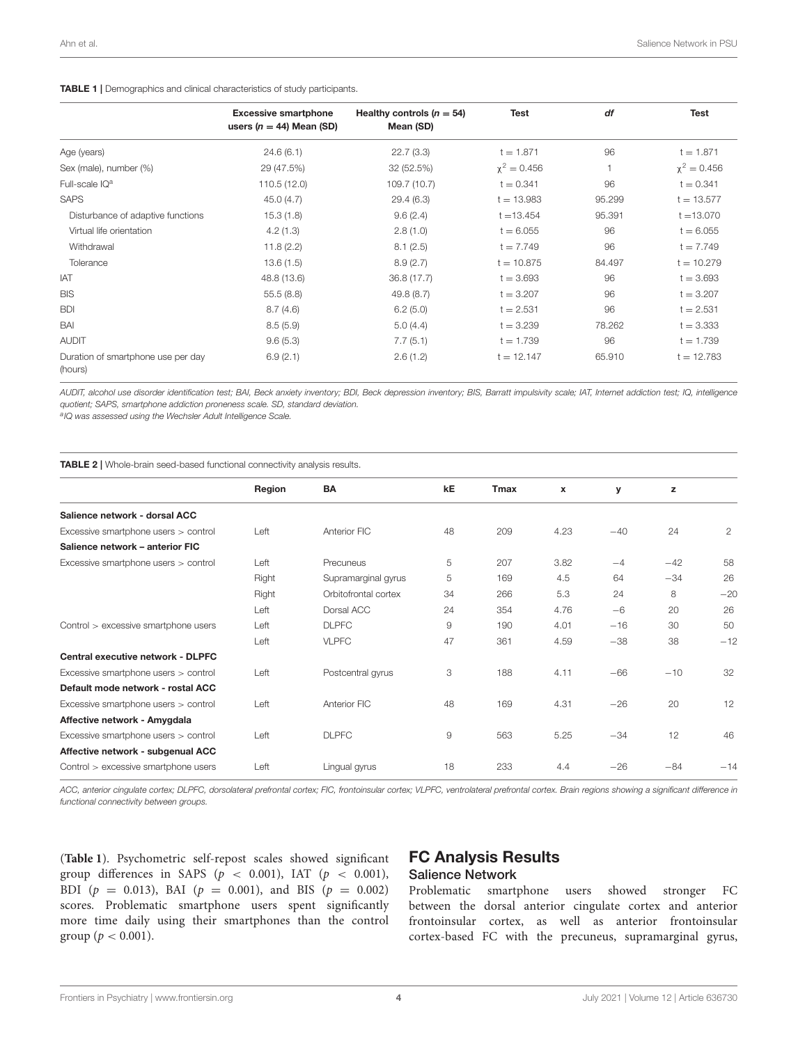#### <span id="page-3-0"></span>TABLE 1 | Demographics and clinical characteristics of study participants.

|                                               | <b>Excessive smartphone</b><br>users ( $n = 44$ ) Mean (SD) | Healthy controls $(n = 54)$<br>Mean (SD) | <b>Test</b>      | df     | <b>Test</b>      |
|-----------------------------------------------|-------------------------------------------------------------|------------------------------------------|------------------|--------|------------------|
| Age (years)                                   | 24.6(6.1)                                                   | 22.7(3.3)                                | $t = 1.871$      | 96     | $t = 1.871$      |
| Sex (male), number (%)                        | 29 (47.5%)                                                  | 32 (52.5%)                               | $\chi^2 = 0.456$ |        | $\chi^2 = 0.456$ |
| Full-scale IQ <sup>a</sup>                    | 110.5 (12.0)                                                | 109.7 (10.7)                             | $t = 0.341$      | 96     | $t = 0.341$      |
| <b>SAPS</b>                                   | 45.0(4.7)                                                   | 29.4(6.3)                                | $t = 13.983$     | 95.299 | $t = 13.577$     |
| Disturbance of adaptive functions             | 15.3(1.8)                                                   | 9.6(2.4)                                 | $t = 13.454$     | 95.391 | $t = 13.070$     |
| Virtual life orientation                      | 4.2(1.3)                                                    | 2.8(1.0)                                 | $t = 6.055$      | 96     | $t = 6.055$      |
| Withdrawal                                    | 11.8(2.2)                                                   | 8.1(2.5)                                 | $t = 7.749$      | 96     | $t = 7.749$      |
| Tolerance                                     | 13.6(1.5)                                                   | 8.9(2.7)                                 | $t = 10.875$     | 84.497 | $t = 10.279$     |
| <b>IAT</b>                                    | 48.8 (13.6)                                                 | 36.8 (17.7)                              | $t = 3.693$      | 96     | $t = 3.693$      |
| <b>BIS</b>                                    | 55.5(8.8)                                                   | 49.8 (8.7)                               | $t = 3.207$      | 96     | $t = 3.207$      |
| <b>BDI</b>                                    | 8.7(4.6)                                                    | 6.2(5.0)                                 | $t = 2.531$      | 96     | $t = 2.531$      |
| BAI                                           | 8.5(5.9)                                                    | 5.0(4.4)                                 | $t = 3.239$      | 78.262 | $t = 3.333$      |
| <b>AUDIT</b>                                  | 9.6(5.3)                                                    | 7.7(5.1)                                 | $t = 1.739$      | 96     | $t = 1.739$      |
| Duration of smartphone use per day<br>(hours) | 6.9(2.1)                                                    | 2.6(1.2)                                 | $t = 12.147$     | 65.910 | $t = 12.783$     |

*AUDIT, alcohol use disorder identification test; BAI, Beck anxiety inventory; BDI, Beck depression inventory; BIS, Barratt impulsivity scale; IAT, Internet addiction test; IQ, intelligence quotient; SAPS, smartphone addiction proneness scale. SD, standard deviation.*

*a IQ was assessed using the Wechsler Adult Intelligence Scale.*

<span id="page-3-1"></span>TABLE 2 | Whole-brain seed-based functional connectivity analysis results.

|                                      | Region | BA                   | kE | <b>Tmax</b> | $\boldsymbol{x}$ | y     | z     |                |
|--------------------------------------|--------|----------------------|----|-------------|------------------|-------|-------|----------------|
| Salience network - dorsal ACC        |        |                      |    |             |                  |       |       |                |
| Excessive smartphone users > control | Left   | Anterior FIC         | 48 | 209         | 4.23             | $-40$ | 24    | $\overline{2}$ |
| Salience network - anterior FIC      |        |                      |    |             |                  |       |       |                |
| Excessive smartphone users > control | Left   | Precuneus            | 5  | 207         | 3.82             | $-4$  | $-42$ | 58             |
|                                      | Right  | Supramarginal gyrus  | 5  | 169         | 4.5              | 64    | $-34$ | 26             |
|                                      | Right  | Orbitofrontal cortex | 34 | 266         | 5.3              | 24    | 8     | $-20$          |
|                                      | Left   | Dorsal ACC           | 24 | 354         | 4.76             | $-6$  | 20    | 26             |
| Control > excessive smartphone users | Left   | <b>DLPFC</b>         | 9  | 190         | 4.01             | $-16$ | 30    | 50             |
|                                      | Left   | <b>VLPFC</b>         | 47 | 361         | 4.59             | $-38$ | 38    | $-12$          |
| Central executive network - DLPFC    |        |                      |    |             |                  |       |       |                |
| Excessive smartphone users > control | Left   | Postcentral gyrus    | 3  | 188         | 4.11             | $-66$ | $-10$ | 32             |
| Default mode network - rostal ACC    |        |                      |    |             |                  |       |       |                |
| Excessive smartphone users > control | Left   | Anterior FIC         | 48 | 169         | 4.31             | $-26$ | 20    | 12             |
| Affective network - Amygdala         |        |                      |    |             |                  |       |       |                |
| Excessive smartphone users > control | Left   | <b>DLPFC</b>         | 9  | 563         | 5.25             | $-34$ | 12    | 46             |
| Affective network - subgenual ACC    |        |                      |    |             |                  |       |       |                |
| Control > excessive smartphone users | Left   | Lingual gyrus        | 18 | 233         | 4.4              | $-26$ | $-84$ | $-14$          |
|                                      |        |                      |    |             |                  |       |       |                |

*ACC, anterior cingulate cortex; DLPFC, dorsolateral prefrontal cortex; FIC, frontoinsular cortex; VLPFC, ventrolateral prefrontal cortex. Brain regions showing a significant difference in functional connectivity between groups.*

(**[Table 1](#page-3-0)**). Psychometric self-repost scales showed significant group differences in SAPS ( $p < 0.001$ ), IAT ( $p < 0.001$ ), BDI ( $p = 0.013$ ), BAI ( $p = 0.001$ ), and BIS ( $p = 0.002$ ) scores. Problematic smartphone users spent significantly more time daily using their smartphones than the control group ( $p < 0.001$ ).

#### FC Analysis Results Salience Network

Problematic smartphone users showed stronger FC between the dorsal anterior cingulate cortex and anterior frontoinsular cortex, as well as anterior frontoinsular cortex-based FC with the precuneus, supramarginal gyrus,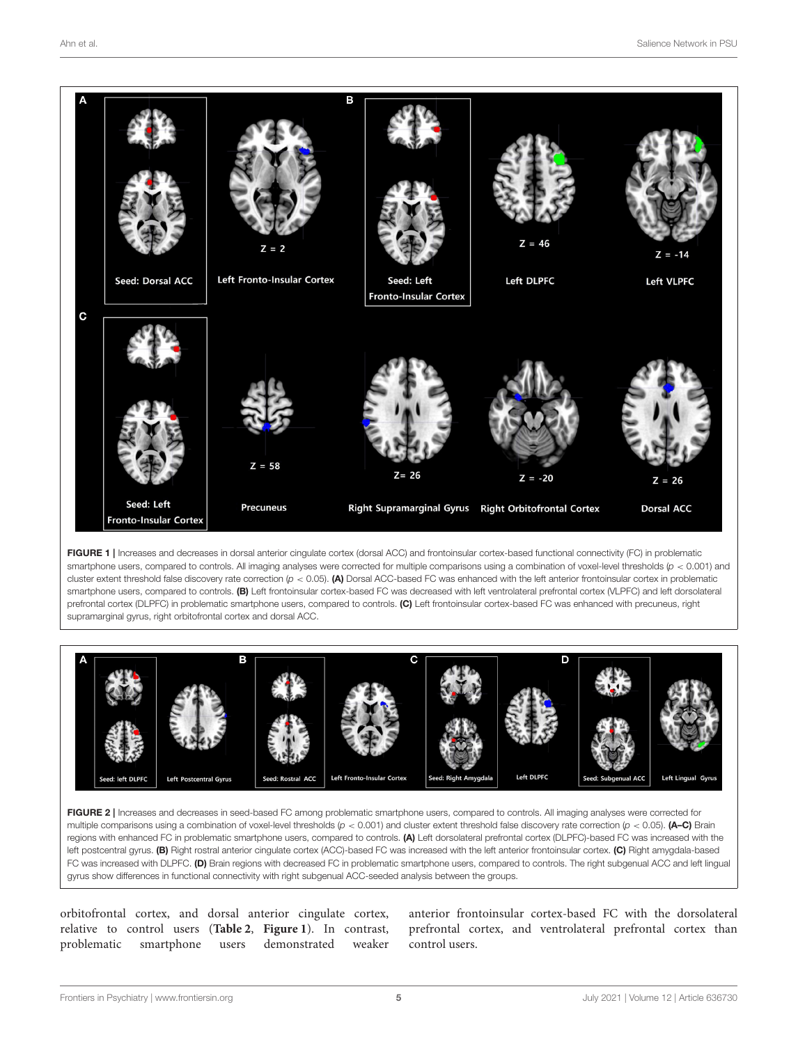

<span id="page-4-0"></span>FIGURE 1 | Increases and decreases in dorsal anterior cingulate cortex (dorsal ACC) and frontoinsular cortex-based functional connectivity (FC) in problematic smartphone users, compared to controls. All imaging analyses were corrected for multiple comparisons using a combination of voxel-level thresholds ( $p < 0.001$ ) and cluster extent threshold false discovery rate correction (*p* < 0.05). (A) Dorsal ACC-based FC was enhanced with the left anterior frontoinsular cortex in problematic smartphone users, compared to controls. (B) Left frontoinsular cortex-based FC was decreased with left ventrolateral prefrontal cortex (VLPFC) and left dorsolateral prefrontal cortex (DLPFC) in problematic smartphone users, compared to controls. (C) Left frontoinsular cortex-based FC was enhanced with precuneus, right supramarginal gyrus, right orbitofrontal cortex and dorsal ACC.



<span id="page-4-1"></span>FIGURE 2 | Increases and decreases in seed-based FC among problematic smartphone users, compared to controls. All imaging analyses were corrected for multiple comparisons using a combination of voxel-level thresholds (*p* < 0.001) and cluster extent threshold false discovery rate correction (*p* < 0.05). **(A–C)** Brain regions with enhanced FC in problematic smartphone users, compared to controls. (A) Left dorsolateral prefrontal cortex (DLPFC)-based FC was increased with the left postcentral gyrus. (B) Right rostral anterior cingulate cortex (ACC)-based FC was increased with the left anterior frontoinsular cortex. (C) Right amygdala-based FC was increased with DLPFC. (D) Brain regions with decreased FC in problematic smartphone users, compared to controls. The right subgenual ACC and left lingual gyrus show differences in functional connectivity with right subgenual ACC-seeded analysis between the groups.

orbitofrontal cortex, and dorsal anterior cingulate cortex, relative to control users (**[Table 2](#page-3-1)**, **[Figure 1](#page-4-0)**). In contrast, problematic smartphone users demonstrated weaker

anterior frontoinsular cortex-based FC with the dorsolateral prefrontal cortex, and ventrolateral prefrontal cortex than control users.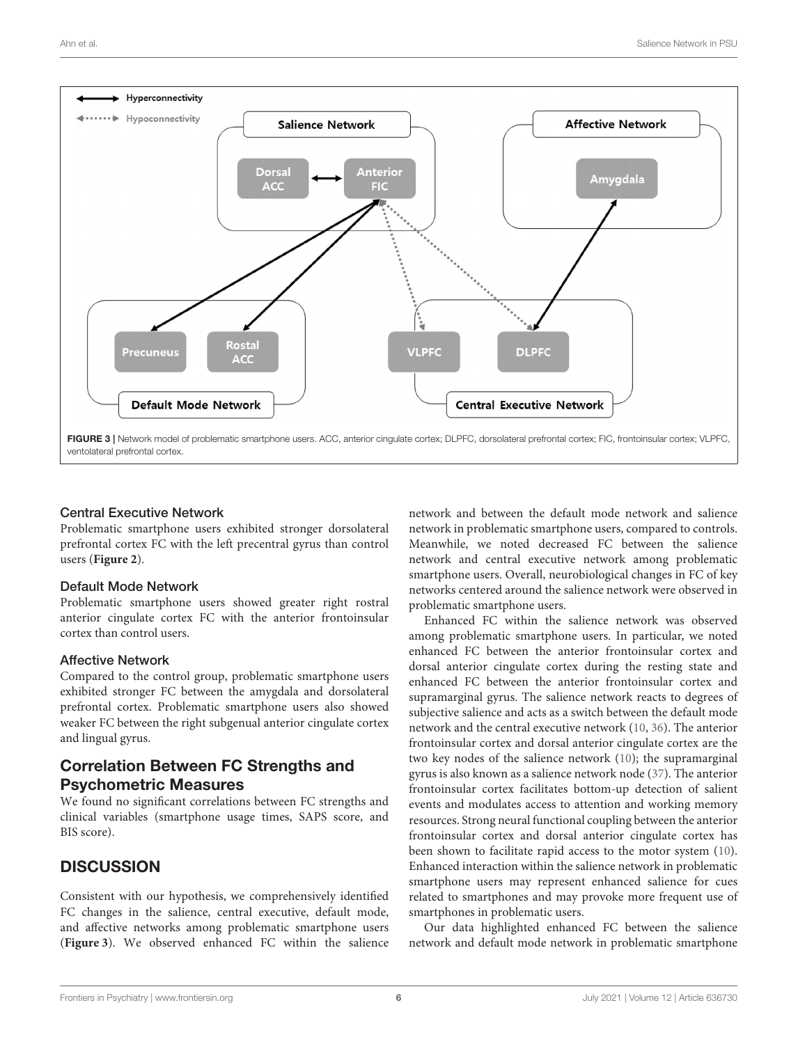

#### <span id="page-5-0"></span>Central Executive Network

Problematic smartphone users exhibited stronger dorsolateral prefrontal cortex FC with the left precentral gyrus than control users (**[Figure 2](#page-4-1)**).

#### Default Mode Network

Problematic smartphone users showed greater right rostral anterior cingulate cortex FC with the anterior frontoinsular cortex than control users.

#### Affective Network

Compared to the control group, problematic smartphone users exhibited stronger FC between the amygdala and dorsolateral prefrontal cortex. Problematic smartphone users also showed weaker FC between the right subgenual anterior cingulate cortex and lingual gyrus.

### Correlation Between FC Strengths and Psychometric Measures

We found no significant correlations between FC strengths and clinical variables (smartphone usage times, SAPS score, and BIS score).

## **DISCUSSION**

Consistent with our hypothesis, we comprehensively identified FC changes in the salience, central executive, default mode, and affective networks among problematic smartphone users (**[Figure 3](#page-5-0)**). We observed enhanced FC within the salience network and between the default mode network and salience network in problematic smartphone users, compared to controls. Meanwhile, we noted decreased FC between the salience network and central executive network among problematic smartphone users. Overall, neurobiological changes in FC of key networks centered around the salience network were observed in problematic smartphone users.

Enhanced FC within the salience network was observed among problematic smartphone users. In particular, we noted enhanced FC between the anterior frontoinsular cortex and dorsal anterior cingulate cortex during the resting state and enhanced FC between the anterior frontoinsular cortex and supramarginal gyrus. The salience network reacts to degrees of subjective salience and acts as a switch between the default mode network and the central executive network [\(10,](#page-7-9) [36\)](#page-8-5). The anterior frontoinsular cortex and dorsal anterior cingulate cortex are the two key nodes of the salience network [\(10\)](#page-7-9); the supramarginal gyrus is also known as a salience network node [\(37\)](#page-8-6). The anterior frontoinsular cortex facilitates bottom-up detection of salient events and modulates access to attention and working memory resources. Strong neural functional coupling between the anterior frontoinsular cortex and dorsal anterior cingulate cortex has been shown to facilitate rapid access to the motor system [\(10\)](#page-7-9). Enhanced interaction within the salience network in problematic smartphone users may represent enhanced salience for cues related to smartphones and may provoke more frequent use of smartphones in problematic users.

Our data highlighted enhanced FC between the salience network and default mode network in problematic smartphone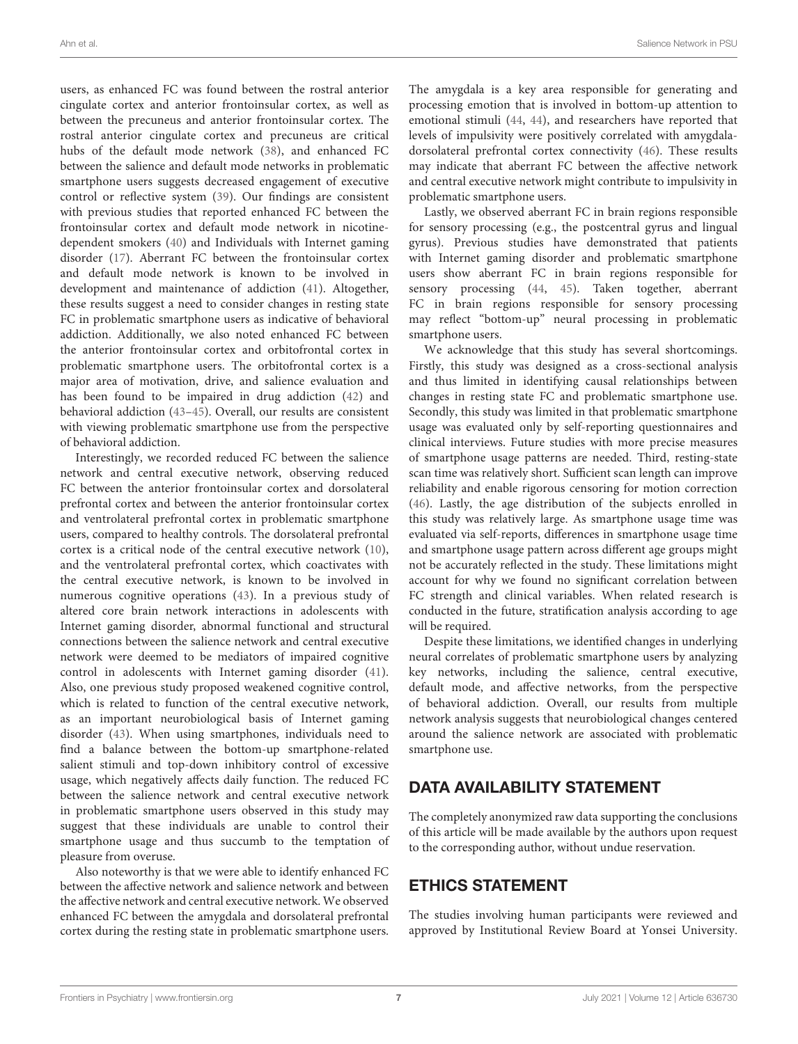users, as enhanced FC was found between the rostral anterior cingulate cortex and anterior frontoinsular cortex, as well as between the precuneus and anterior frontoinsular cortex. The rostral anterior cingulate cortex and precuneus are critical hubs of the default mode network [\(38\)](#page-8-7), and enhanced FC between the salience and default mode networks in problematic smartphone users suggests decreased engagement of executive control or reflective system [\(39\)](#page-8-8). Our findings are consistent with previous studies that reported enhanced FC between the frontoinsular cortex and default mode network in nicotinedependent smokers [\(40\)](#page-8-9) and Individuals with Internet gaming disorder [\(17\)](#page-7-29). Aberrant FC between the frontoinsular cortex and default mode network is known to be involved in development and maintenance of addiction [\(41\)](#page-8-10). Altogether, these results suggest a need to consider changes in resting state FC in problematic smartphone users as indicative of behavioral addiction. Additionally, we also noted enhanced FC between the anterior frontoinsular cortex and orbitofrontal cortex in problematic smartphone users. The orbitofrontal cortex is a major area of motivation, drive, and salience evaluation and has been found to be impaired in drug addiction [\(42\)](#page-8-11) and behavioral addiction [\(43](#page-8-12)[–45\)](#page-8-13). Overall, our results are consistent with viewing problematic smartphone use from the perspective of behavioral addiction.

Interestingly, we recorded reduced FC between the salience network and central executive network, observing reduced FC between the anterior frontoinsular cortex and dorsolateral prefrontal cortex and between the anterior frontoinsular cortex and ventrolateral prefrontal cortex in problematic smartphone users, compared to healthy controls. The dorsolateral prefrontal cortex is a critical node of the central executive network [\(10\)](#page-7-9), and the ventrolateral prefrontal cortex, which coactivates with the central executive network, is known to be involved in numerous cognitive operations [\(43\)](#page-8-12). In a previous study of altered core brain network interactions in adolescents with Internet gaming disorder, abnormal functional and structural connections between the salience network and central executive network were deemed to be mediators of impaired cognitive control in adolescents with Internet gaming disorder [\(41\)](#page-8-10). Also, one previous study proposed weakened cognitive control, which is related to function of the central executive network, as an important neurobiological basis of Internet gaming disorder [\(43\)](#page-8-12). When using smartphones, individuals need to find a balance between the bottom-up smartphone-related salient stimuli and top-down inhibitory control of excessive usage, which negatively affects daily function. The reduced FC between the salience network and central executive network in problematic smartphone users observed in this study may suggest that these individuals are unable to control their smartphone usage and thus succumb to the temptation of pleasure from overuse.

Also noteworthy is that we were able to identify enhanced FC between the affective network and salience network and between the affective network and central executive network. We observed enhanced FC between the amygdala and dorsolateral prefrontal cortex during the resting state in problematic smartphone users.

The amygdala is a key area responsible for generating and processing emotion that is involved in bottom-up attention to emotional stimuli [\(44,](#page-8-14) [44\)](#page-8-14), and researchers have reported that levels of impulsivity were positively correlated with amygdaladorsolateral prefrontal cortex connectivity [\(46\)](#page-8-15). These results may indicate that aberrant FC between the affective network and central executive network might contribute to impulsivity in problematic smartphone users.

Lastly, we observed aberrant FC in brain regions responsible for sensory processing (e.g., the postcentral gyrus and lingual gyrus). Previous studies have demonstrated that patients with Internet gaming disorder and problematic smartphone users show aberrant FC in brain regions responsible for sensory processing [\(44,](#page-8-14) [45\)](#page-8-13). Taken together, aberrant FC in brain regions responsible for sensory processing may reflect "bottom-up" neural processing in problematic smartphone users.

We acknowledge that this study has several shortcomings. Firstly, this study was designed as a cross-sectional analysis and thus limited in identifying causal relationships between changes in resting state FC and problematic smartphone use. Secondly, this study was limited in that problematic smartphone usage was evaluated only by self-reporting questionnaires and clinical interviews. Future studies with more precise measures of smartphone usage patterns are needed. Third, resting-state scan time was relatively short. Sufficient scan length can improve reliability and enable rigorous censoring for motion correction [\(46\)](#page-8-15). Lastly, the age distribution of the subjects enrolled in this study was relatively large. As smartphone usage time was evaluated via self-reports, differences in smartphone usage time and smartphone usage pattern across different age groups might not be accurately reflected in the study. These limitations might account for why we found no significant correlation between FC strength and clinical variables. When related research is conducted in the future, stratification analysis according to age will be required.

Despite these limitations, we identified changes in underlying neural correlates of problematic smartphone users by analyzing key networks, including the salience, central executive, default mode, and affective networks, from the perspective of behavioral addiction. Overall, our results from multiple network analysis suggests that neurobiological changes centered around the salience network are associated with problematic smartphone use.

# DATA AVAILABILITY STATEMENT

The completely anonymized raw data supporting the conclusions of this article will be made available by the authors upon request to the corresponding author, without undue reservation.

# ETHICS STATEMENT

The studies involving human participants were reviewed and approved by Institutional Review Board at Yonsei University.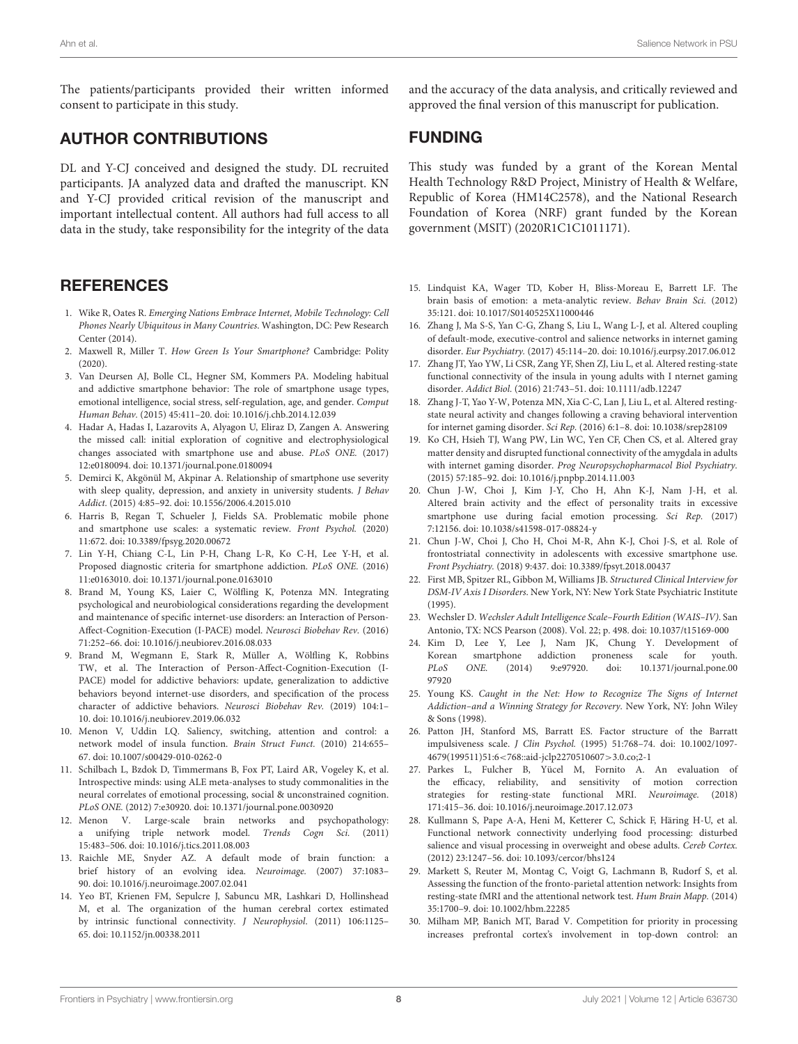The patients/participants provided their written informed consent to participate in this study.

## AUTHOR CONTRIBUTIONS

DL and Y-CJ conceived and designed the study. DL recruited participants. JA analyzed data and drafted the manuscript. KN and Y-CJ provided critical revision of the manuscript and important intellectual content. All authors had full access to all data in the study, take responsibility for the integrity of the data

## **REFERENCES**

- <span id="page-7-0"></span>1. Wike R, Oates R. Emerging Nations Embrace Internet, Mobile Technology: Cell Phones Nearly Ubiquitous in Many Countries. Washington, DC: Pew Research Center (2014).
- <span id="page-7-1"></span>2. Maxwell R, Miller T. How Green Is Your Smartphone? Cambridge: Polity (2020).
- <span id="page-7-2"></span>3. Van Deursen AJ, Bolle CL, Hegner SM, Kommers PA. Modeling habitual and addictive smartphone behavior: The role of smartphone usage types, emotional intelligence, social stress, self-regulation, age, and gender. Comput Human Behav. (2015) 45:411–20. doi: [10.1016/j.chb.2014.12.039](https://doi.org/10.1016/j.chb.2014.12.039)
- <span id="page-7-3"></span>4. Hadar A, Hadas I, Lazarovits A, Alyagon U, Eliraz D, Zangen A. Answering the missed call: initial exploration of cognitive and electrophysiological changes associated with smartphone use and abuse. PLoS ONE. (2017) 12:e0180094. doi: [10.1371/journal.pone.0180094](https://doi.org/10.1371/journal.pone.0180094)
- <span id="page-7-4"></span>5. Demirci K, Akgönül M, Akpinar A. Relationship of smartphone use severity with sleep quality, depression, and anxiety in university students. J Behav Addict. (2015) 4:85–92. doi: [10.1556/2006.4.2015.010](https://doi.org/10.1556/2006.4.2015.010)
- <span id="page-7-5"></span>6. Harris B, Regan T, Schueler J, Fields SA. Problematic mobile phone and smartphone use scales: a systematic review. Front Psychol. (2020) 11:672. doi: [10.3389/fpsyg.2020.00672](https://doi.org/10.3389/fpsyg.2020.00672)
- <span id="page-7-6"></span>7. Lin Y-H, Chiang C-L, Lin P-H, Chang L-R, Ko C-H, Lee Y-H, et al. Proposed diagnostic criteria for smartphone addiction. PLoS ONE. (2016) 11:e0163010. doi: [10.1371/journal.pone.0163010](https://doi.org/10.1371/journal.pone.0163010)
- <span id="page-7-7"></span>8. Brand M, Young KS, Laier C, Wölfling K, Potenza MN. Integrating psychological and neurobiological considerations regarding the development and maintenance of specific internet-use disorders: an Interaction of Person-Affect-Cognition-Execution (I-PACE) model. Neurosci Biobehav Rev. (2016) 71:252–66. doi: [10.1016/j.neubiorev.2016.08.033](https://doi.org/10.1016/j.neubiorev.2016.08.033)
- <span id="page-7-8"></span>9. Brand M, Wegmann E, Stark R, Müller A, Wölfling K, Robbins TW, et al. The Interaction of Person-Affect-Cognition-Execution (I-PACE) model for addictive behaviors: update, generalization to addictive behaviors beyond internet-use disorders, and specification of the process character of addictive behaviors. Neurosci Biobehav Rev. (2019) 104:1– 10. doi: [10.1016/j.neubiorev.2019.06.032](https://doi.org/10.1016/j.neubiorev.2019.06.032)
- <span id="page-7-9"></span>10. Menon V, Uddin LQ. Saliency, switching, attention and control: a network model of insula function. Brain Struct Funct. (2010) 214:655– 67. doi: [10.1007/s00429-010-0262-0](https://doi.org/10.1007/s00429-010-0262-0)
- <span id="page-7-10"></span>11. Schilbach L, Bzdok D, Timmermans B, Fox PT, Laird AR, Vogeley K, et al. Introspective minds: using ALE meta-analyses to study commonalities in the neural correlates of emotional processing, social & unconstrained cognition. PLoS ONE. (2012) 7:e30920. doi: [10.1371/journal.pone.0030920](https://doi.org/10.1371/journal.pone.0030920)
- <span id="page-7-11"></span>12. Menon V. Large-scale brain networks and psychopathology: a unifying triple network model. Trends Cogn Sci. (2011) 15:483–506. doi: [10.1016/j.tics.2011.08.003](https://doi.org/10.1016/j.tics.2011.08.003)
- <span id="page-7-12"></span>13. Raichle ME, Snyder AZ. A default mode of brain function: a brief history of an evolving idea. Neuroimage. (2007) 37:1083– 90. doi: [10.1016/j.neuroimage.2007.02.041](https://doi.org/10.1016/j.neuroimage.2007.02.041)
- <span id="page-7-13"></span>14. Yeo BT, Krienen FM, Sepulcre J, Sabuncu MR, Lashkari D, Hollinshead M, et al. The organization of the human cerebral cortex estimated by intrinsic functional connectivity. J Neurophysiol. (2011) 106:1125– 65. doi: [10.1152/jn.00338.2011](https://doi.org/10.1152/jn.00338.2011)

and the accuracy of the data analysis, and critically reviewed and approved the final version of this manuscript for publication.

#### FUNDING

This study was funded by a grant of the Korean Mental Health Technology R&D Project, Ministry of Health & Welfare, Republic of Korea (HM14C2578), and the National Research Foundation of Korea (NRF) grant funded by the Korean government (MSIT) (2020R1C1C1011171).

- <span id="page-7-14"></span>15. Lindquist KA, Wager TD, Kober H, Bliss-Moreau E, Barrett LF. The brain basis of emotion: a meta-analytic review. Behav Brain Sci. (2012) 35:121. doi: [10.1017/S0140525X11000446](https://doi.org/10.1017/S0140525X11000446)
- <span id="page-7-15"></span>16. Zhang J, Ma S-S, Yan C-G, Zhang S, Liu L, Wang L-J, et al. Altered coupling of default-mode, executive-control and salience networks in internet gaming disorder. Eur Psychiatry. (2017) 45:114–20. doi: [10.1016/j.eurpsy.2017.06.012](https://doi.org/10.1016/j.eurpsy.2017.06.012)
- <span id="page-7-29"></span>17. Zhang JT, Yao YW, Li CSR, Zang YF, Shen ZJ, Liu L, et al. Altered resting-state functional connectivity of the insula in young adults with I nternet gaming disorder. Addict Biol. (2016) 21:743–51. doi: [10.1111/adb.12247](https://doi.org/10.1111/adb.12247)
- <span id="page-7-16"></span>18. Zhang J-T, Yao Y-W, Potenza MN, Xia C-C, Lan J, Liu L, et al. Altered restingstate neural activity and changes following a craving behavioral intervention for internet gaming disorder. Sci Rep. (2016) 6:1–8. doi: [10.1038/srep28109](https://doi.org/10.1038/srep28109)
- <span id="page-7-17"></span>19. Ko CH, Hsieh TJ, Wang PW, Lin WC, Yen CF, Chen CS, et al. Altered gray matter density and disrupted functional connectivity of the amygdala in adults with internet gaming disorder. Prog Neuropsychopharmacol Biol Psychiatry. (2015) 57:185–92. doi: [10.1016/j.pnpbp.2014.11.003](https://doi.org/10.1016/j.pnpbp.2014.11.003)
- <span id="page-7-18"></span>20. Chun J-W, Choi J, Kim J-Y, Cho H, Ahn K-J, Nam J-H, et al. Altered brain activity and the effect of personality traits in excessive smartphone use during facial emotion processing. Sci Rep. (2017) 7:12156. doi: [10.1038/s41598-017-08824-y](https://doi.org/10.1038/s41598-017-08824-y)
- <span id="page-7-19"></span>21. Chun J-W, Choi J, Cho H, Choi M-R, Ahn K-J, Choi J-S, et al. Role of frontostriatal connectivity in adolescents with excessive smartphone use. Front Psychiatry. (2018) 9:437. doi: [10.3389/fpsyt.2018.00437](https://doi.org/10.3389/fpsyt.2018.00437)
- <span id="page-7-20"></span>22. First MB, Spitzer RL, Gibbon M, Williams JB. Structured Clinical Interview for DSM-IV Axis I Disorders. New York, NY: New York State Psychiatric Institute (1995).
- <span id="page-7-21"></span>23. Wechsler D. Wechsler Adult Intelligence Scale–Fourth Edition (WAIS–IV). San Antonio, TX: NCS Pearson (2008). Vol. 22; p. 498. doi: [10.1037/t15169-000](https://doi.org/10.1037/t15169-000)
- <span id="page-7-22"></span>24. Kim D, Lee Y, Lee J, Nam JK, Chung Y. Development of Korean smartphone addiction proneness scale for youth. PLoS ONE. [\(2014\) 9:e97920. doi: 10.1371/journal.pone.00](https://doi.org/10.1371/journal.pone.0097920) 97920
- <span id="page-7-23"></span>25. Young KS. Caught in the Net: How to Recognize The Signs of Internet Addiction–and a Winning Strategy for Recovery. New York, NY: John Wiley & Sons (1998).
- <span id="page-7-24"></span>26. Patton JH, Stanford MS, Barratt ES. Factor structure of the Barratt impulsiveness scale. J Clin Psychol. [\(1995\) 51:768–74. doi: 10.1002/1097-](https://doi.org/10.1002/1097-4679(199511)51:6$<$768::aid-jclp2270510607$>$3.0.co;2-1) 4679(199511)51:6<768::aid-jclp2270510607>3.0.co;2-1
- <span id="page-7-25"></span>27. Parkes L, Fulcher B, Yücel M, Fornito A. An evaluation of the efficacy, reliability, and sensitivity of motion correction strategies for resting-state functional MRI. Neuroimage. (2018) 171:415–36. doi: [10.1016/j.neuroimage.2017.12.073](https://doi.org/10.1016/j.neuroimage.2017.12.073)
- <span id="page-7-26"></span>28. Kullmann S, Pape A-A, Heni M, Ketterer C, Schick F, Häring H-U, et al. Functional network connectivity underlying food processing: disturbed salience and visual processing in overweight and obese adults. Cereb Cortex. (2012) 23:1247–56. doi: [10.1093/cercor/bhs124](https://doi.org/10.1093/cercor/bhs124)
- <span id="page-7-27"></span>29. Markett S, Reuter M, Montag C, Voigt G, Lachmann B, Rudorf S, et al. Assessing the function of the fronto-parietal attention network: Insights from resting-state fMRI and the attentional network test. Hum Brain Mapp. (2014) 35:1700–9. doi: [10.1002/hbm.22285](https://doi.org/10.1002/hbm.22285)
- <span id="page-7-28"></span>30. Milham MP, Banich MT, Barad V. Competition for priority in processing increases prefrontal cortex's involvement in top-down control: an